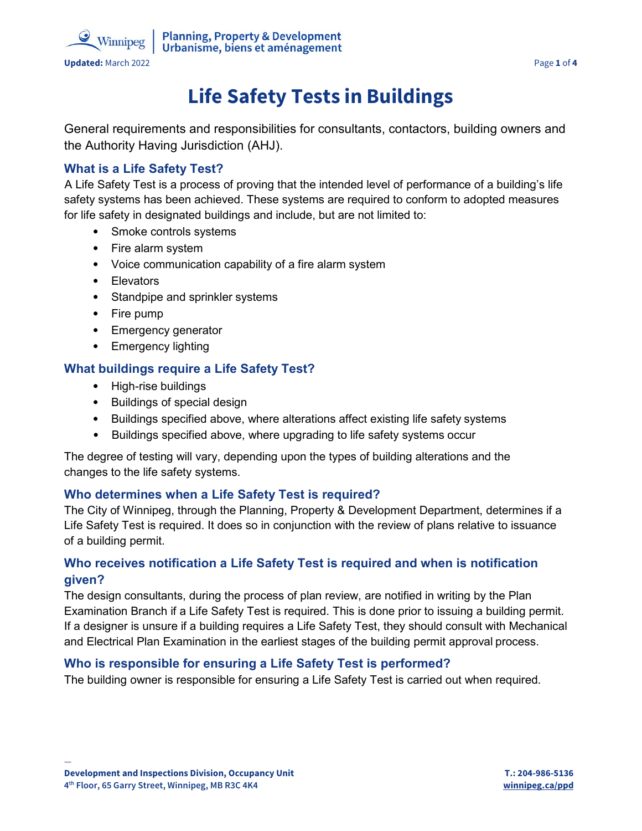



**Updated:** March 2022 Page 1 of 4

 $\triangle$  Winnipeg

# **Life Safety Tests in Buildings**

General requirements and responsibilities for consultants, contactors, building owners and the Authority Having Jurisdiction (AHJ).

# **What is a Life Safety Test?**

A Life Safety Test is a process of proving that the intended level of performance of a building's life safety systems has been achieved. These systems are required to conform to adopted measures for life safety in designated buildings and include, but are not limited to:

- Smoke controls systems
- Fire alarm system
- Voice communication capability of a fire alarm system
- Elevators
- Standpipe and sprinkler systems
- Fire pump
- Emergency generator
- Emergency lighting

## **What buildings require a Life Safety Test?**

- High-rise buildings
- Buildings of special design
- Buildings specified above, where alterations affect existing life safety systems
- Buildings specified above, where upgrading to life safety systems occur

The degree of testing will vary, depending upon the types of building alterations and the changes to the life safety systems.

#### **Who determines when a Life Safety Test is required?**

The City of Winnipeg, through the Planning, Property & Development Department, determines if a Life Safety Test is required. It does so in conjunction with the review of plans relative to issuance of a building permit.

# **Who receives notification a Life Safety Test is required and when is notification given?**

The design consultants, during the process of plan review, are notified in writing by the Plan Examination Branch if a Life Safety Test is required. This is done prior to issuing a building permit. If a designer is unsure if a building requires a Life Safety Test, they should consult with Mechanical and Electrical Plan Examination in the earliest stages of the building permit approval process.

## **Who is responsible for ensuring a Life Safety Test is performed?**

The building owner is responsible for ensuring a Life Safety Test is carried out when required.

—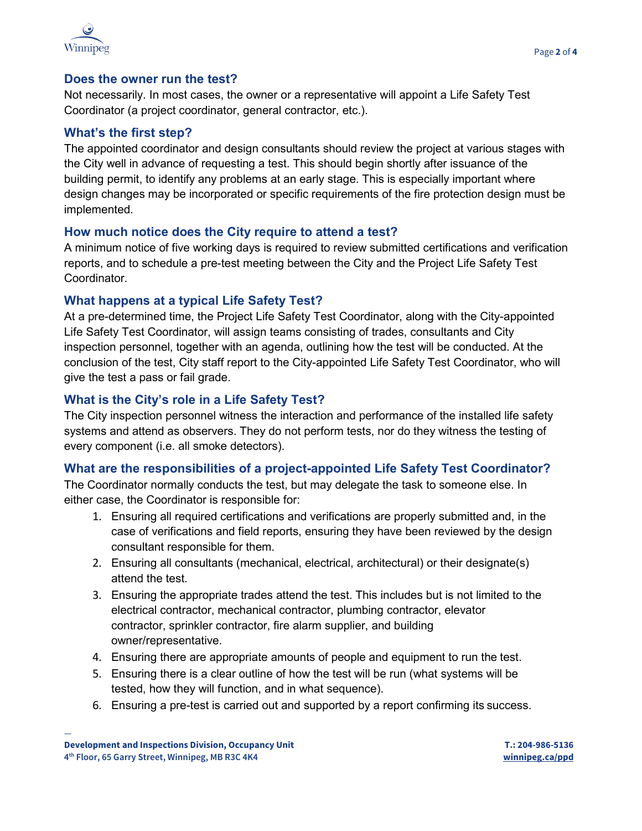

#### **Does the owner run the test?**

Not necessarily. In most cases, the owner or a representative will appoint a Life Safety Test Coordinator (a project coordinator, general contractor, etc.).

#### **What's the first step?**

The appointed coordinator and design consultants should review the project at various stages with the City well in advance of requesting a test. This should begin shortly after issuance of the building permit, to identify any problems at an early stage. This is especially important where design changes may be incorporated or specific requirements of the fire protection design must be implemented.

#### **How much notice does the City require to attend a test?**

A minimum notice of five working days is required to review submitted certifications and verification reports, and to schedule a pre-test meeting between the City and the Project Life Safety Test Coordinator.

#### **What happens at a typical Life Safety Test?**

At a pre-determined time, the Project Life Safety Test Coordinator, along with the City-appointed Life Safety Test Coordinator, will assign teams consisting of trades, consultants and City inspection personnel, together with an agenda, outlining how the test will be conducted. At the conclusion of the test, City staff report to the City-appointed Life Safety Test Coordinator, who will give the test a pass or fail grade.

#### **What is the City's role in a Life Safety Test?**

The City inspection personnel witness the interaction and performance of the installed life safety systems and attend as observers. They do not perform tests, nor do they witness the testing of every component (i.e. all smoke detectors).

#### **What are the responsibilities of a project-appointed Life Safety Test Coordinator?**

The Coordinator normally conducts the test, but may delegate the task to someone else. In either case, the Coordinator is responsible for:

- 1. Ensuring all required certifications and verifications are properly submitted and, in the case of verifications and field reports, ensuring they have been reviewed by the design consultant responsible for them.
- 2. Ensuring all consultants (mechanical, electrical, architectural) or their designate(s) attend the test.
- 3. Ensuring the appropriate trades attend the test. This includes but is not limited to the electrical contractor, mechanical contractor, plumbing contractor, elevator contractor, sprinkler contractor, fire alarm supplier, and building owner/representative.
- 4. Ensuring there are appropriate amounts of people and equipment to run the test.
- 5. Ensuring there is a clear outline of how the test will be run (what systems will be tested, how they will function, and in what sequence).
- 6. Ensuring a pre-test is carried out and supported by a report confirming its success.

—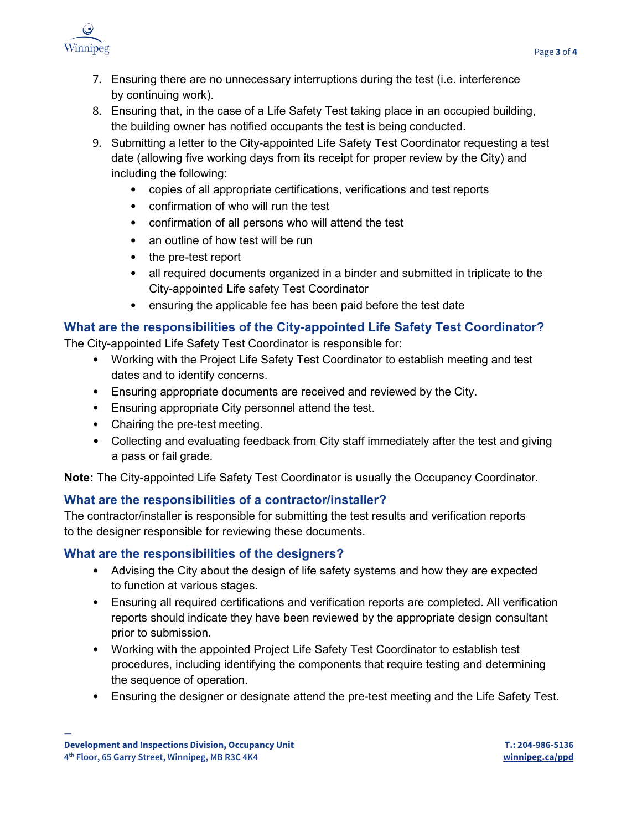

- 7. Ensuring there are no unnecessary interruptions during the test (i.e. interference by continuing work).
- 8. Ensuring that, in the case of a Life Safety Test taking place in an occupied building, the building owner has notified occupants the test is being conducted.
- 9. Submitting a letter to the City-appointed Life Safety Test Coordinator requesting a test date (allowing five working days from its receipt for proper review by the City) and including the following:
	- copies of all appropriate certifications, verifications and test reports
	- confirmation of who will run the test
	- confirmation of all persons who will attend the test
	- an outline of how test will be run
	- the pre-test report
	- all required documents organized in a binder and submitted in triplicate to the City-appointed Life safety Test Coordinator
	- ensuring the applicable fee has been paid before the test date

# **What are the responsibilities of the City-appointed Life Safety Test Coordinator?**

- The City-appointed Life Safety Test Coordinator is responsible for:
	- Working with the Project Life Safety Test Coordinator to establish meeting and test dates and to identify concerns.
	- Ensuring appropriate documents are received and reviewed by the City.
	- Ensuring appropriate City personnel attend the test.
	- Chairing the pre-test meeting.
	- Collecting and evaluating feedback from City staff immediately after the test and giving a pass or fail grade.

**Note:** The City-appointed Life Safety Test Coordinator is usually the Occupancy Coordinator.

## **What are the responsibilities of a contractor/installer?**

The contractor/installer is responsible for submitting the test results and verification reports to the designer responsible for reviewing these documents.

## **What are the responsibilities of the designers?**

- Advising the City about the design of life safety systems and how they are expected to function at various stages.
- Ensuring all required certifications and verification reports are completed. All verification reports should indicate they have been reviewed by the appropriate design consultant prior to submission.
- Working with the appointed Project Life Safety Test Coordinator to establish test procedures, including identifying the components that require testing and determining the sequence of operation.
- Ensuring the designer or designate attend the pre-test meeting and the Life Safety Test.